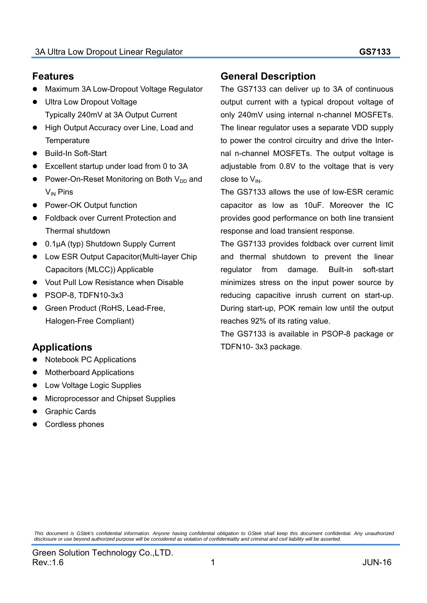### **Features**

- Maximum 3A Low-Dropout Voltage Regulator
- Ultra Low Dropout Voltage Typically 240mV at 3A Output Current
- **High Output Accuracy over Line, Load and Temperature**
- Build-In Soft-Start
- Excellent startup under load from 0 to 3A
- Power-On-Reset Monitoring on Both  $V_{DD}$  and  $V_{IN}$  Pins
- Power-OK Output function
- Foldback over Current Protection and Thermal shutdown
- 0.1μA (typ) Shutdown Supply Current
- Low ESR Output Capacitor(Multi-layer Chip Capacitors (MLCC)) Applicable
- Vout Pull Low Resistance when Disable
- PSOP-8, TDFN10-3x3
- Green Product (RoHS, Lead-Free, Halogen-Free Compliant)

# **Applications**

- Notebook PC Applications
- Motherboard Applications
- Low Voltage Logic Supplies
- Microprocessor and Chipset Supplies
- Graphic Cards
- Cordless phones

### **General Description**

The GS7133 can deliver up to 3A of continuous output current with a typical dropout voltage of only 240mV using internal n-channel MOSFETs. The linear regulator uses a separate VDD supply to power the control circuitry and drive the Internal n-channel MOSFETs. The output voltage is adjustable from 0.8V to the voltage that is very close to  $V_{IN.}$ 

The GS7133 allows the use of low-ESR ceramic capacitor as low as 10uF. Moreover the IC provides good performance on both line transient response and load transient response.

The GS7133 provides foldback over current limit and thermal shutdown to prevent the linear regulator from damage. Built-in soft-start minimizes stress on the input power source by reducing capacitive inrush current on start-up. During start-up, POK remain low until the output reaches 92% of its rating value.

The GS7133 is available in PSOP-8 package or TDFN10- 3x3 package.

*This document is GStek's confidential information. Anyone having confidential obligation to GStek shall keep this document confidential. Any unauthorized disclosure or use beyond authorized purpose will be considered as violation of confidentiality and criminal and civil liability will be asserted.*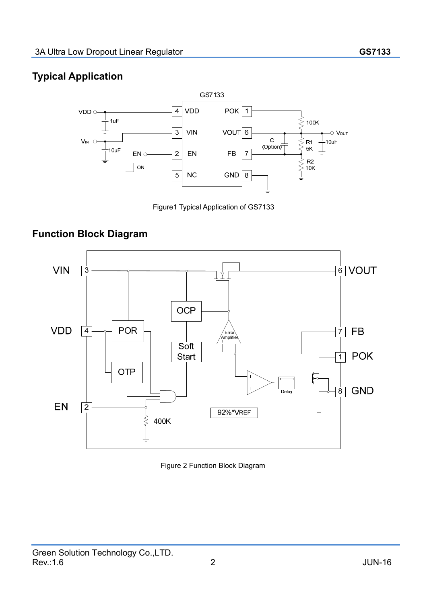# **Typical Application**



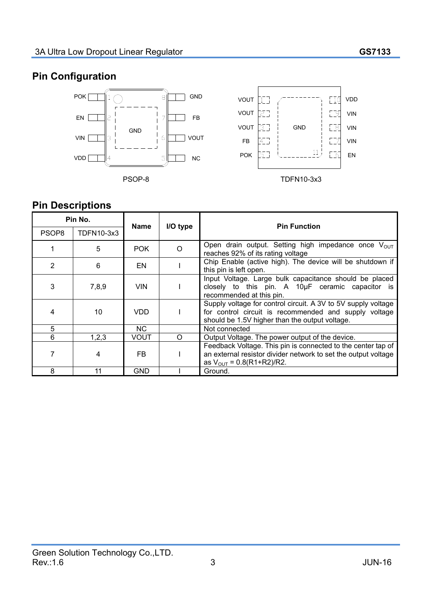# **Pin Configuration**



# **Pin Descriptions**

| <b>PIN Descriptions</b> |            |            |          |                                                                                                                                                                           |  |  |
|-------------------------|------------|------------|----------|---------------------------------------------------------------------------------------------------------------------------------------------------------------------------|--|--|
| Pin No.                 |            | Name       | I/O type | <b>Pin Function</b>                                                                                                                                                       |  |  |
| PSOP8                   | TDFN10-3x3 |            |          |                                                                                                                                                                           |  |  |
|                         | 5          | POK.       | $\Omega$ | Open drain output. Setting high impedance once V <sub>OUT</sub><br>reaches 92% of its rating voltage                                                                      |  |  |
| $\overline{2}$          | 6          | EN         |          | Chip Enable (active high). The device will be shutdown if<br>this pin is left open.                                                                                       |  |  |
| 3                       | 7,8,9      | <b>VIN</b> |          | Input Voltage. Large bulk capacitance should be placed<br>closely to this pin. A $10\mu$ F ceramic capacitor is<br>recommended at this pin.                               |  |  |
| 4                       | 10         | <b>VDD</b> |          | Supply voltage for control circuit. A 3V to 5V supply voltage<br>for control circuit is recommended and supply voltage<br>should be 1.5V higher than the output voltage.  |  |  |
| $5\phantom{.0}$         |            | <b>NC</b>  |          | Not connected                                                                                                                                                             |  |  |
| 6                       | 1,2,3      | VOUT       | O        | Output Voltage. The power output of the device.                                                                                                                           |  |  |
| 7                       | 4          | FB         |          | Feedback Voltage. This pin is connected to the center tap of<br>an external resistor divider network to set the output voltage<br>as $V_{\text{OUT}} = 0.8(R1 + R2)/R2$ . |  |  |
| 8                       | 11         | <b>GND</b> |          | Ground.                                                                                                                                                                   |  |  |
|                         |            |            |          |                                                                                                                                                                           |  |  |

 $\mathscr{S}$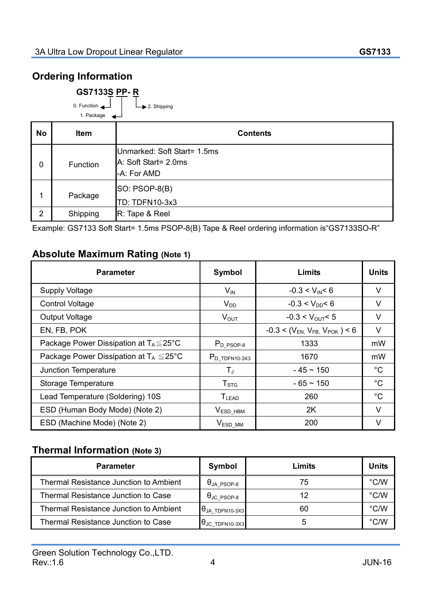# **Ordering Information**

0. Function

| <b>GS7133S PP-R</b> |  |  |
|---------------------|--|--|
|                     |  |  |

2. Shipping

|             | 1. Package  | ◢                                                                  |
|-------------|-------------|--------------------------------------------------------------------|
| <b>No</b>   | <b>Item</b> | <b>Contents</b>                                                    |
| $\mathbf 0$ | Function    | Unmarked: Soft Start= 1.5ms<br>A: Soft Start= 2.0ms<br>-A: For AMD |
| 1           | Package     | <b>SO: PSOP-8(B)</b><br>TD: TDFN10-3x3                             |
| 2           | Shipping    | R: Tape & Reel                                                     |

Example: GS7133 Soft Start= 1.5ms PSOP-8(B) Tape & Reel ordering information is"GS7133SO-R"

### **Absolute Maximum Rating (Note 1)**

| <b>Absolute Maximum Rating (Note 1)</b>             |                        |                                      |              |
|-----------------------------------------------------|------------------------|--------------------------------------|--------------|
| <b>Parameter</b>                                    | Symbol                 | <b>Limits</b>                        | <b>Units</b> |
| <b>Supply Voltage</b>                               | $\mathcal{W}$          | $-0.3 < V_{IN} < 6$                  | V            |
| <b>Control Voltage</b>                              | <b>V</b> <sub>DD</sub> | $-0.3 < V_{DD} < 6$                  | V            |
| <b>Output Voltage</b>                               | $V_{\text{OUT}}$       | $-0.3 < V_{OUT} < 5$                 | V            |
| EN, FB, POK                                         |                        | $-0.3 < (V_{EN} V_{FB} V_{POK}) < 6$ | V            |
| Package Power Dissipation at $T_A \leq 25^{\circ}C$ | $P_{D_PSOP-8}$         | 1333                                 | mW           |
| Package Power Dissipation at $T_A \leq 25^{\circ}C$ | $P_{D_TDPN10-3X3}$     | 1670                                 | mW           |
| Junction Temperature                                | $T_{\text{J}}$         | $-45 \sim 150$                       | $^{\circ}C$  |
| Storage Temperature                                 | $T_{\mathtt{STG}}$     | $-65 - 150$                          | $^{\circ}C$  |
| Lead Temperature (Soldering) 10S                    | $T_{LEAD}$             | 260                                  | $^{\circ}$ C |
| ESD (Human Body Mode) (Note 2)                      | $VESD_HBM$             | 2K                                   | V            |
| ESD (Machine Mode) (Note 2)                         | $V_{ESD\_MM}$          | 200                                  | V            |

# **Thermal Information (Note 3)**

| <b>Parameter</b>                              | Symbol                             | Limits | <b>Units</b>  |
|-----------------------------------------------|------------------------------------|--------|---------------|
| <b>Thermal Resistance Junction to Ambient</b> | $\theta$ ja_psop-8                 | 75     | $\degree$ C/W |
| Thermal Resistance Junction to Case           | $\theta_{\text{JC }P\text{SOP-8}}$ | 12     | $\degree$ C/W |
| Thermal Resistance Junction to Ambient        | $\theta$ JA TDFN10-3X3             | 60     | $\degree$ C/W |
| Thermal Resistance Junction to Case           | $\theta$ JC TDFN10-3X3             | 5      | $\degree$ C/W |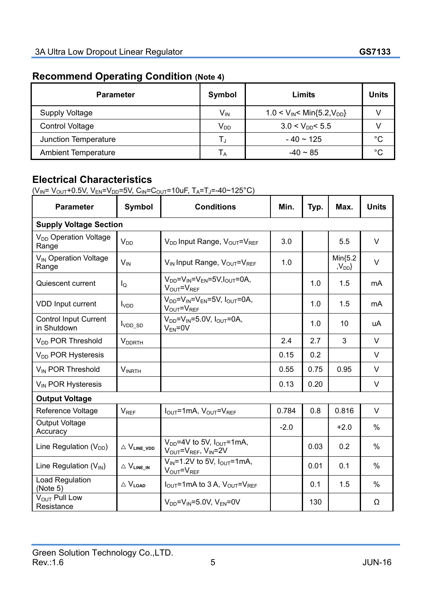# **Recommend Operating Condition (Note 4)**

| <b>Parameter</b>           | Symbol          | Limits                                                   | <b>Units</b> |
|----------------------------|-----------------|----------------------------------------------------------|--------------|
| <b>Supply Voltage</b>      | V <sub>IN</sub> | $1.0 < V_{\text{IN}} < \text{Min}\{5.2, V_{\text{DD}}\}$ |              |
| <b>Control Voltage</b>     | $V_{DD}$        | $3.0 < V_{DD} < 5.5$                                     |              |
| Junction Temperature       | ر ا             | $-40 \sim 125$                                           | $^{\circ}C$  |
| <b>Ambient Temperature</b> | ΙA              | $-40 \sim 85$                                            | $^{\circ}C$  |

# **Electrical Characteristics**

 $(V_{IN} = V_{OUT} + 0.5V, V_{EN} = V_{DD} = 5V, C_{IN} = C_{OUT} = 10uF, T_A = T_J = -40 \sim 125^{\circ}C)$ 

| <b>Parameter</b>                            | Symbol                                | <b>Conditions</b>                                                                           | Min.   | Typ. | Max.                           | <b>Units</b> |
|---------------------------------------------|---------------------------------------|---------------------------------------------------------------------------------------------|--------|------|--------------------------------|--------------|
| <b>Supply Voltage Section</b>               |                                       |                                                                                             |        |      |                                |              |
| V <sub>DD</sub> Operation Voltage<br>Range  | <b>V<sub>DD</sub></b>                 | V <sub>DD</sub> Input Range, V <sub>OUT</sub> =V <sub>REF</sub>                             | 3.0    |      | 5.5                            | $\vee$       |
| V <sub>IN</sub> Operation Voltage<br>Range  | $V_{IN}$                              | V <sub>IN</sub> Input Range, V <sub>OUT</sub> =VREE                                         | 1.0    |      | $Min{5.2}$<br>,V <sub>DD</sub> | $\vee$       |
| Quiescent current                           | lo                                    | $V_{DD}$ = $V_{IN}$ = $V_{EN}$ =5 $V$ , $V_{OUT}$ =0A,<br>$V_{\text{OUT}} = V_{\text{REF}}$ |        | 1.0  | 1.5                            | mA           |
| <b>VDD Input current</b>                    | <b>I</b> <sub>VDD</sub>               | $V_{DD} = V_{IN} = V_{EN} = 5V$ , $I_{OUT} = 0A$ ,<br>VOUT <sup>=VREE</sup>                 |        | 1.0  | 1.5                            | mA           |
| <b>Control Input Current</b><br>in Shutdown | V <sub>DD_SD</sub>                    | $V_{DD} = V_{IN} = 5.0 V,$ $V_{OUT} = 0 A,$<br>$V_{EN} = 0V$                                |        | 1.0  | 10                             | uA           |
| V <sub>DD</sub> POR Threshold               | <b>VDDRTH</b>                         |                                                                                             | 2.4    | 2.7  | 3                              | $\vee$       |
| V <sub>DD</sub> POR Hysteresis              |                                       |                                                                                             | 0.15   | 0.2  |                                | V            |
| V <sub>IN</sub> POR Threshold               | $V_{INRTH}$                           |                                                                                             | 0.55   | 0.75 | 0.95                           | $\vee$       |
| V <sub>IN</sub> POR Hysteresis              |                                       |                                                                                             | 0.13   | 0.20 |                                | V            |
| <b>Output Voltage</b>                       |                                       |                                                                                             |        |      |                                |              |
| Reference Voltage                           | $V_{REF}$                             | $I_{\text{OUT}}$ =1mA, $V_{\text{OUT}}$ = $V_{\text{REF}}$                                  | 0.784  | 0.8  | 0.816                          | $\vee$       |
| <b>Output Voltage</b><br>Accuracy           |                                       |                                                                                             | $-2.0$ |      | $+2.0$                         | $\%$         |
| Line Regulation $(V_{DD})$                  | $\vartriangle$ $V_{\text{LINE\_YDD}}$ | $V_{DD}$ =4V to 5V, $I_{OUT}$ =1mA,<br>VOUT=VREF, VIN=2V                                    |        | 0.03 | 0.2                            | %            |
| Line Regulation $(V_{IN})$                  | $\vartriangle$ $V_{\text{LINE\_IN}}$  | $V_{IN} = 1.2V$ to 5V, $I_{OUT} = 1mA$ ,<br>VOUT=VREF                                       |        | 0.01 | 0.1                            | $\%$         |
| Load Regulation<br>(Note 5)                 | $\triangle$ $V_{\text{LOAD}}$         | $I_{\text{OUT}}$ =1mA to 3 A, $V_{\text{OUT}}=V_{\text{REF}}$                               |        | 0.1  | 1.5                            | $\%$         |
| V <sub>OUT</sub> Pull Low<br>Resistance     |                                       | $V_{DD} = V_{IN} = 5.0 V$ , $V_{FN} = 0 V$                                                  |        | 130  |                                | Ω            |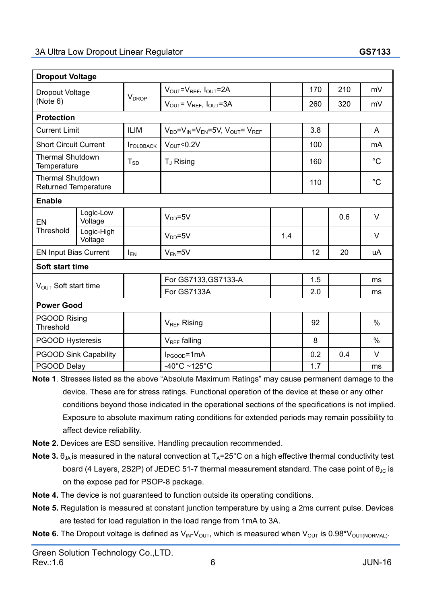| <b>Dropout Voltage</b>                                 |                              |                          |                                                       |     |     |     |               |
|--------------------------------------------------------|------------------------------|--------------------------|-------------------------------------------------------|-----|-----|-----|---------------|
| <b>Dropout Voltage</b><br>(Note 6)                     |                              |                          | $V_{\text{OUT}}=V_{\text{REF}}$ , $I_{\text{OUT}}=2A$ |     | 170 | 210 | mV            |
|                                                        |                              | <b>V</b> <sub>DROP</sub> | $V_{OUT} = V_{REF}$ , $I_{OUT} = 3A$                  |     | 260 | 320 | mV            |
| <b>Protection</b>                                      |                              |                          |                                                       |     |     |     |               |
| <b>Current Limit</b>                                   |                              | <b>ILIM</b>              | $V_{DD} = V_{IN} = V_{FN} = 5V$ , $V_{OUT} = V_{REF}$ |     | 3.8 |     | A             |
| <b>Short Circuit Current</b>                           |                              | <b>IFOLDBACK</b>         | $V_{\text{OUT}}$ <0.2V                                |     | 100 |     | mA            |
| <b>Thermal Shutdown</b><br>Temperature                 |                              | $T_{SD}$                 | T <sub>J</sub> Rising                                 |     | 160 |     | $^{\circ}C$   |
| <b>Thermal Shutdown</b><br><b>Returned Temperature</b> |                              |                          |                                                       |     | 110 |     | $^{\circ}C$   |
| <b>Enable</b>                                          |                              |                          |                                                       |     |     |     |               |
| EN                                                     | Logic-Low<br>Voltage         |                          | $V_{DD} = 5V$                                         |     |     | 0.6 | $\vee$        |
| Threshold                                              | Logic-High<br>Voltage        |                          | $V_{DD} = 5V$                                         | 1.4 |     |     | V             |
| <b>EN Input Bias Current</b>                           |                              | $I_{EN}$                 | $V_{FN} = 5V$                                         |     | 12  | 20  | uA            |
| Soft start time                                        |                              |                          |                                                       |     |     |     |               |
| $V_{\text{OUT}}$ Soft start time                       |                              |                          | For GS7133, GS7133-A                                  |     | 1.5 |     | ms            |
|                                                        |                              |                          | For GS7133A                                           |     | 2.0 |     | ms            |
| <b>Power Good</b>                                      |                              |                          |                                                       |     |     |     |               |
| PGOOD Rising<br>Threshold                              |                              |                          | V <sub>REF</sub> Rising                               |     | 92  |     | $\frac{0}{0}$ |
| <b>PGOOD Hysteresis</b>                                |                              |                          | V <sub>REF</sub> falling                              |     | 8   |     | $\frac{0}{0}$ |
|                                                        | <b>PGOOD Sink Capability</b> |                          | $l_{PGOOD} = 1mA$                                     |     | 0.2 | 0.4 | $\vee$        |
| PGOOD Delay                                            |                              |                          | $-40^{\circ}$ C ~125 $^{\circ}$ C                     |     | 1.7 |     | ms            |

- **Note 1**. Stresses listed as the above "Absolute Maximum Ratings" may cause permanent damage to the device. These are for stress ratings. Functional operation of the device at these or any other conditions beyond those indicated in the operational sections of the specifications is not implied. Exposure to absolute maximum rating conditions for extended periods may remain possibility to affect device reliability.
- **Note 2.** Devices are ESD sensitive. Handling precaution recommended.
- **Note 3.**  $\theta_{JA}$  is measured in the natural convection at  $T_A=25^{\circ}$ C on a high effective thermal conductivity test board (4 Layers, 2S2P) of JEDEC 51-7 thermal measurement standard. The case point of  $\theta_{\text{JC}}$  is on the expose pad for PSOP-8 package.
- **Note 4.** The device is not guaranteed to function outside its operating conditions.
- **Note 5.** Regulation is measured at constant junction temperature by using a 2ms current pulse. Devices are tested for load regulation in the load range from 1mA to 3A.
- **Note 6.** The Dropout voltage is defined as  $V_{\text{IN}}V_{\text{OUT}}$ , which is measured when  $V_{\text{OUT}}$  is 0.98\* $V_{\text{OUT}(\text{NORMAL})}$ .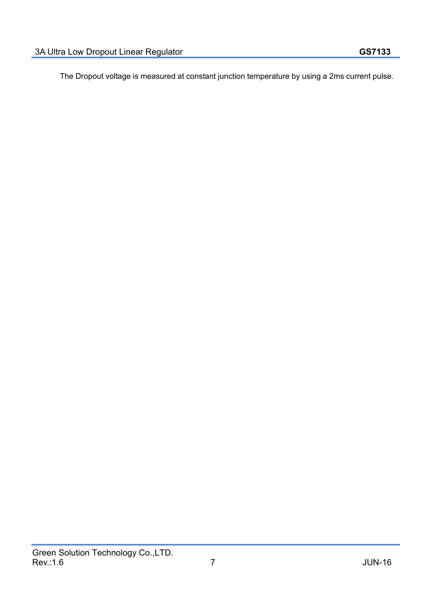The Dropout voltage is measured at constant junction temperature by using a 2ms current pulse.

**CONSTRUCTION REPORTS**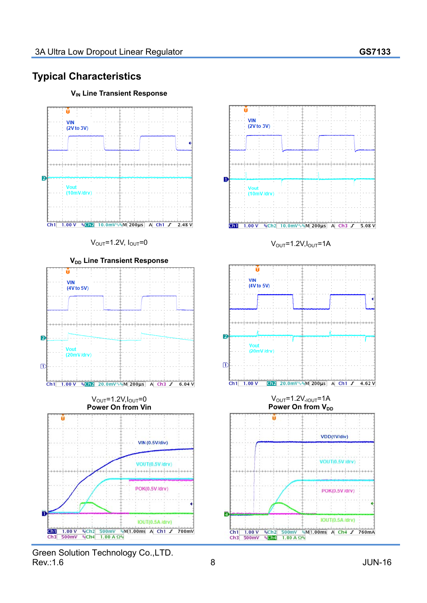# **Typical Characteristics**



**V<sub>IN</sub>** Line Transient Response

Green Solution Technology Co.,LTD. Rev.:1.6 JUN-16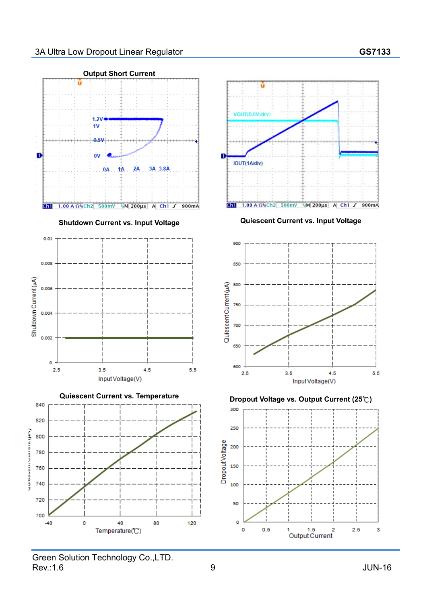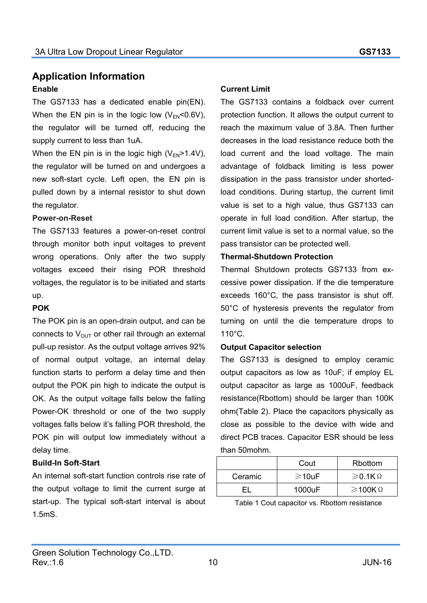### **Application Information Enable**

The GS7133 has a dedicated enable pin(EN). When the EN pin is in the logic low  $(V_{FN} < 0.6V)$ , the regulator will be turned off, reducing the supply current to less than 1uA.

When the EN pin is in the logic high  $(V_{FN} > 1.4V)$ , the regulator will be turned on and undergoes a new soft-start cycle. Left open, the EN pin is pulled down by a internal resistor to shut down the regulator.

#### **Power-on-Reset**

The GS7133 features a power-on-reset control through monitor both input voltages to prevent wrong operations. Only after the two supply voltages exceed their rising POR threshold voltages, the regulator is to be initiated and starts up.

#### **POK**

The POK pin is an open-drain output, and can be connects to  $V_{\text{OUT}}$  or other rail through an external pull-up resistor. As the output voltage arrives 92% of normal output voltage, an internal delay function starts to perform a delay time and then output the POK pin high to indicate the output is OK. As the output voltage falls below the falling Power-OK threshold or one of the two supply voltages falls below it's falling POR threshold, the POK pin will output low immediately without a delay time.

#### **Build-In Soft-Start**

An internal soft-start function controls rise rate of the output voltage to limit the current surge at start-up. The typical soft-start interval is about 1.5mS.

#### **Current Limit**

The GS7133 contains a foldback over current protection function. It allows the output current to reach the maximum value of 3.8A. Then further decreases in the load resistance reduce both the load current and the load voltage. The main advantage of foldback limiting is less power dissipation in the pass transistor under shortedload conditions. During startup, the current limit value is set to a high value, thus GS7133 can operate in full load condition. After startup, the current limit value is set to a normal value, so the pass transistor can be protected well.

### **Thermal-Shutdown Protection**

Thermal Shutdown protects GS7133 from excessive power dissipation. If the die temperature exceeds 160°C, the pass transistor is shut off. 50°C of hysteresis prevents the regulator from turning on until the die temperature drops to 110°C.

#### **Output Capacitor selection**

The GS7133 is designed to employ ceramic output capacitors as low as 10uF; if employ EL output capacitor as large as 1000uF, feedback resistance(Rbottom) should be larger than 100K ohm(Table 2). Place the capacitors physically as close as possible to the device with wide and direct PCB traces. Capacitor ESR should be less than 50mohm.

|         | Cout         | <b>Rbottom</b>            |
|---------|--------------|---------------------------|
| Ceramic | $\geq 10$ uF | $\geqslant$ 0.1K $\Omega$ |
|         | 1000uF       | $≥$ 100ΚΩ                 |

Table 1 Cout capacitor vs. Rbottom resistance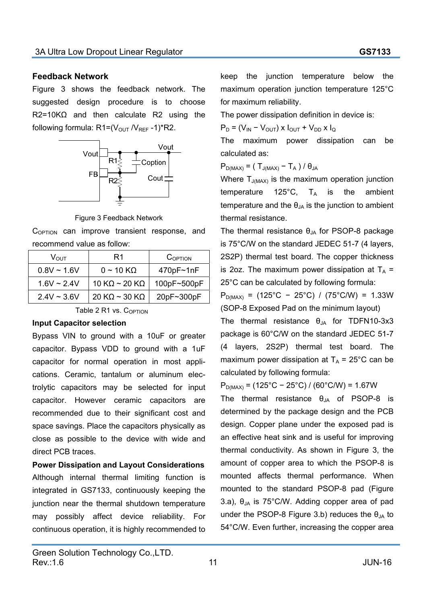#### **Feedback Network**

Figure 3 shows the feedback network. The suggested design procedure is to choose R2=10KΩ and then calculate R2 using the following formula:  $R1 = (V_{OUT}/V_{REF} - 1)*R2$ .



Figure 3 Feedback Network

 $C_{\text{OPTION}}$  can improve transient response, and recommend value as follow:

| $V_{\rm OUT}$    | R1                            | COPTION     |
|------------------|-------------------------------|-------------|
| $0.8V \sim 1.6V$ | $0 \sim 10 \text{ K}\Omega$   | 470pF~1nF   |
| $1.6V \sim 2.4V$ | 10 K $\Omega$ ~ 20 K $\Omega$ | 100pF~500pF |
| $2.4V \sim 3.6V$ | 20 KΩ ~ 30 KΩ                 | 20pF~300pF  |
|                  |                               |             |

Table 2  $R1$  vs.  $C_{\Omega$ PTION

#### **Input Capacitor selection**

Bypass VIN to ground with a 10uF or greater capacitor. Bypass VDD to ground with  $a$  1uF capacitor for normal operation in most applications. Ceramic, tantalum or aluminum electrolytic capacitors may be selected for input capacitor. However ceramic capacitors are recommended due to their significant cost and space savings. Place the capacitors physically as close as possible to the device with wide and direct PCB traces.

**Power Dissipation and Layout Considerations**  Although internal thermal limiting function is integrated in GS7133, continuously keeping the junction near the thermal shutdown temperature may possibly affect device reliability. For continuous operation, it is highly recommended to

keep the junction temperature below the maximum operation junction temperature 125°C for maximum reliability.

The power dissipation definition in device is:

 $P_D = (V_{IN} - V_{OUT}) \times I_{OUT} + V_{DD} \times I_{Q}$ 

The maximum power dissipation can be calculated as:

 $P_{D(MAX)} = (T_{J(MAX)} - T_A) / \theta_{JA}$ 

Where  $T_{J(MAX)}$  is the maximum operation junction temperature  $125^{\circ}$ C,  $T_A$  is the ambient temperature and the  $\theta_{JA}$  is the junction to ambient thermal resistance.

The thermal resistance  $\theta_{JA}$  for PSOP-8 package is 75°C/W on the standard JEDEC 51-7 (4 layers, 2S2P) thermal test board. The copper thickness is 202. The maximum power dissipation at  $T_A$  = 25°C can be calculated by following formula:

 $P_{D(MAX)} = (125^{\circ}C - 25^{\circ}C) / (75^{\circ}C/W) = 1.33W$ (SOP-8 Exposed Pad on the minimum layout)

The thermal resistance  $\theta_{JA}$  for TDFN10-3x3 package is 60°C/W on the standard JEDEC 51-7 (4 layers, 2S2P) thermal test board. The maximum power dissipation at  $T_A$  = 25°C can be calculated by following formula:

 $P_{D(MAX)} = (125^{\circ}C - 25^{\circ}C) / (60^{\circ}C/W) = 1.67W$ 

The thermal resistance  $\theta_{JA}$  of PSOP-8 is determined by the package design and the PCB design. Copper plane under the exposed pad is an effective heat sink and is useful for improving thermal conductivity. As shown in Figure 3, the amount of copper area to which the PSOP-8 is mounted affects thermal performance. When mounted to the standard PSOP-8 pad (Figure 3.a),  $\theta_{JA}$  is 75°C/W. Adding copper area of pad under the PSOP-8 Figure 3.b) reduces the  $\theta_{JA}$  to 54°C/W. Even further, increasing the copper area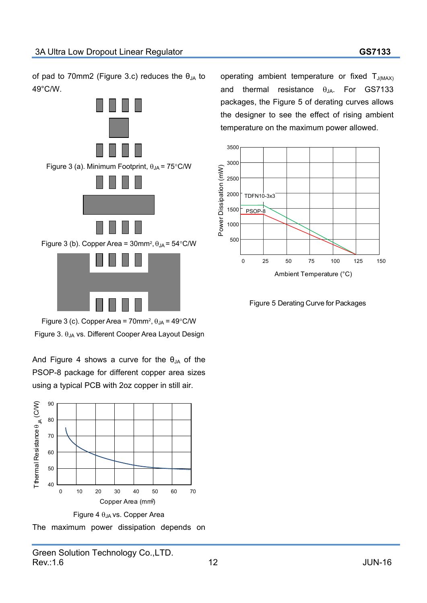of pad to 70mm2 (Figure 3.c) reduces the  $\theta_{JA}$  to 49°C/W.





Figure 3 (c). Copper Area = 70mm<sup>2</sup>,  $\theta_{JA}$  = 49°C/W

Figure 3.  $\theta_{JA}$  vs. Different Cooper Area Layout Design

And Figure 4 shows a curve for the  $\theta_{JA}$  of the PSOP-8 package for different copper area sizes using a typical PCB with 2oz copper in still air.



Figure 4  $\theta$ <sub>JA</sub> vs. Copper Area

The maximum power dissipation depends on

operating ambient temperature or fixed  $T_{J(MAX)}$ and thermal resistance  $\theta_{JA}$ . For GS7133 packages, the Figure 5 of derating curves allows the designer to see the effect of rising ambient temperature on the maximum power allowed.



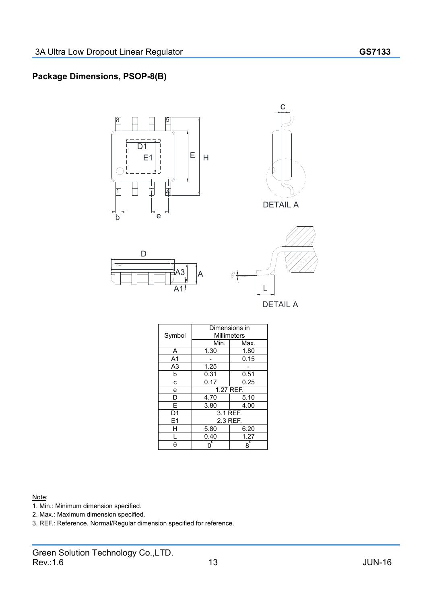### **Package Dimensions, PSOP-8(B)**



#### Note:

- 1. Min.: Minimum dimension specified.
- 2. Max.: Maximum dimension specified.
- 3. REF.: Reference. Normal/Regular dimension specified for reference.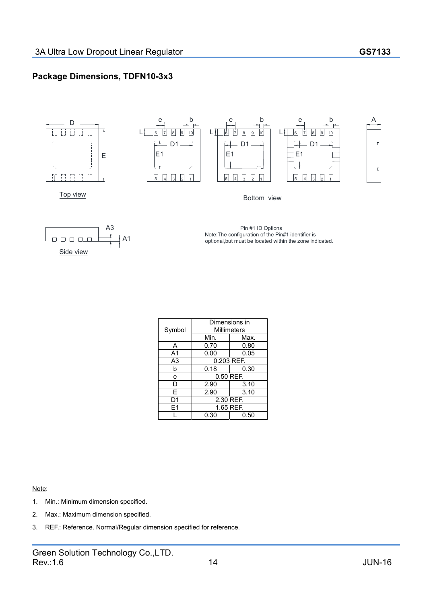### **Package Dimensions, TDFN10-3x3**



#### Note:

- 1. Min.: Minimum dimension specified.
- 2. Max.: Maximum dimension specified.
- 3. REF.: Reference. Normal/Regular dimension specified for reference.